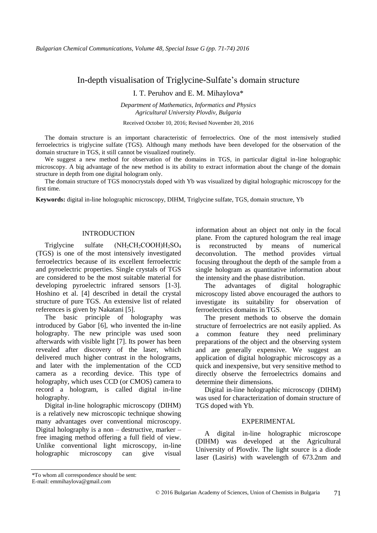# In-depth visualisation of Triglycine-Sulfate's domain structure

I. T. Peruhov and E. M. Mihaylova\*

*Department of Mathematics, Informatics and Physics Agricultural University Plovdiv, Bulgaria*

Received October 10, 2016; Revised November 20, 2016

The domain structure is an important characteristic of ferroelectrics. One of the most intensively studied ferroelectrics is triglycine sulfate (TGS). Although many methods have been developed for the observation of the domain structure in TGS, it still cannot be visualized routinely.

We suggest a new method for observation of the domains in TGS, in particular digital in-line holographic microscopy. A big advantage of the new method is its ability to extract information about the change of the domain structure in depth from one digital hologram only.

The domain structure of TGS monocrystals doped with Yb was visualized by digital holographic microscopy for the first time.

**Keywords:** digital in-line holographic microscopy, DIHM, Triglycine sulfate, TGS, domain structure, Yb

# INTRODUCTION

Triglycine sulfate (NH<sub>2</sub>CH<sub>2</sub>COOH)H<sub>2</sub>SO<sub>4</sub> (TGS) is one of the most intensively investigated ferroelectrics because of its excellent ferroelectric and pyroelectric properties. Single crystals of TGS are considered to be the most suitable material for developing pyroelectric infrared sensors [1-3]. Hoshino et al. [4] described in detail the crystal structure of pure TGS. An extensive list of related references is given by Nakatani [5].

The basic principle of holography was introduced by Gabor [6], who invented the in-line holography. The new principle was used soon afterwards with visible light [7]. Its power has been revealed after discovery of the laser, which delivered much higher contrast in the holograms, and later with the implementation of the CCD camera as a recording device. This type of holography, which uses CCD (or CMOS) camera to record a hologram, is called digital in-line holography.

Digital in-line holographic microscopy (DIHM) is a relatively new microscopic technique showing many advantages over conventional microscopy. Digital holography is a non – destructive, marker – free imaging method offering a full field of view. Unlike conventional light microscopy, in-line holographic microscopy can give visual

information about an object not only in the focal plane. From the captured hologram the real image is reconstructed by means of numerical deconvolution. The method provides virtual focusing throughout the depth of the sample from a single hologram as quantitative information about the intensity and the phase distribution.

The advantages of digital holographic microscopy listed above encouraged the authors to investigate its suitability for observation of ferroelectrics domains in TGS.

The present methods to observe the domain structure of ferroelectrics are not easily applied. As common feature they need preliminary preparations of the object and the observing system and are generally expensive. We suggest an application of digital holographic microscopy as a quick and inexpensive, but very sensitive method to directly observe the ferroelectrics domains and determine their dimensions.

Digital in-line holographic microscopy (DIHM) was used for characterization of domain structure of TGS doped with Yb.

#### EXPERIMENTAL

A digital in-line holographic microscope (DIHM) was developed at the Agricultural University of Plovdiv. The light source is a diode laser (Lasiris) with wavelength of 673.2nm and

<sup>\*</sup>To whom all correspondence should be sent:

E-mail: emmihaylova@gmail.com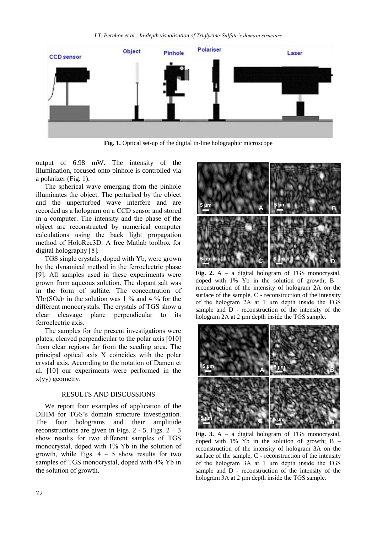

**Fig. 1.** Optical set-up of the digital in-line holographic microscope

output of 6.98 mW. The intensity of the illumination, focused onto pinhole is controlled via a polarizer (Fig. 1).

The spherical wave emerging from the pinhole illuminates the object. The perturbed by the object and the unperturbed wave interfere and are recorded as a hologram on a CCD sensor and stored in a computer. The intensity and the phase of the object are reconstructed by numerical computer calculations using the back light propagation method of HoloRec3D: A free Matlab toolbox for digital holography [8].

TGS single crystals, doped with Yb, were grown by the dynamical method in the ferroelectric phase [9]. All samples used in these experiments were grown from aqueous solution. The dopant salt was in the form of sulfate. The concentration of  $Yb_2(SO_4)$ <sub>3</sub> in the solution was 1 % and 4 % for the different monocrystals. The crystals of TGS show a clear cleavage plane perpendicular to its ferroelectric axis.

The samples for the present investigations were plates, cleaved perpendicular to the polar axis [010] from clear regions far from the seeding area. The principal optical axis X coincides with the polar crystal axis. According to the notation of Damen et al. [10] our experiments were performed in the x(yy) geometry.

#### RESULTS AND DISCUSSIONS

We report four examples of application of the DIHM for TGS's domain structure investigation. The four holograms and their amplitude reconstructions are given in Figs.  $2 - 5$ . Figs.  $2 - 3$ show results for two different samples of TGS monocrystal, doped with 1% Yb in the solution of growth, while Figs.  $4 - 5$  show results for two samples of TGS monocrystal, doped with 4% Yb in the solution of growth.



**Fig. 2.** A – a digital hologram of TGS monocrystal, doped with  $1\%$  Yb in the solution of growth; B – reconstruction of the intensity of hologram 2A on the surface of the sample, C - reconstruction of the intensity of the hologram 2A at 1 µm depth inside the TGS sample and D - reconstruction of the intensity of the hologram 2A at 2  $\mu$ m depth inside the TGS sample.



**Fig. 3.** A – a digital hologram of TGS monocrystal, doped with  $1\%$  Yb in the solution of growth; B – reconstruction of the intensity of hologram 3A on the surface of the sample, C - reconstruction of the intensity of the hologram 3A at 1 µm depth inside the TGS sample and D - reconstruction of the intensity of the hologram 3A at 2 µm depth inside the TGS sample.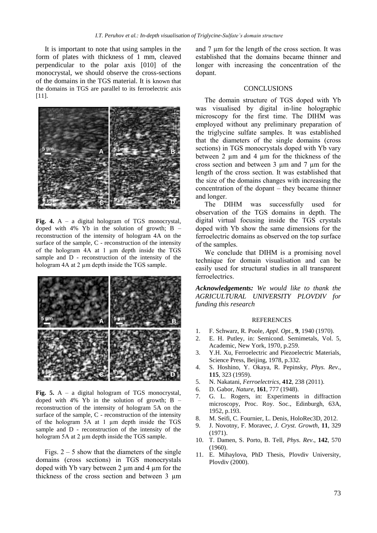It is important to note that using samples in the form of plates with thickness of 1 mm, cleaved perpendicular to the polar axis [010] of the monocrystal, we should observe the cross-sections of the domains in the TGS material. It is known that the domains in TGS are parallel to its ferroelectric axis [11].



Fig. 4. A – a digital hologram of TGS monocrystal, doped with 4% Yb in the solution of growth;  $B$ reconstruction of the intensity of hologram 4A on the surface of the sample, C - reconstruction of the intensity of the hologram 4A at 1 µm depth inside the TGS sample and D - reconstruction of the intensity of the hologram 4A at 2 µm depth inside the TGS sample.



**Fig. 5.** A – a digital hologram of TGS monocrystal, doped with 4% Yb in the solution of growth;  $B$ reconstruction of the intensity of hologram 5A on the surface of the sample, C - reconstruction of the intensity of the hologram 5A at 1 µm depth inside the TGS sample and D - reconstruction of the intensity of the hologram 5A at 2 µm depth inside the TGS sample.

Figs.  $2 - 5$  show that the diameters of the single domains (cross sections) in TGS monocrystals doped with Yb vary between  $2 \mu m$  and  $4 \mu m$  for the thickness of the cross section and between 3 µm

and 7 µm for the length of the cross section. It was established that the domains became thinner and longer with increasing the concentration of the dopant.

# **CONCLUSIONS**

The domain structure of TGS doped with Yb was visualised by digital in-line holographic microscopy for the first time. The DIHM was employed without any preliminary preparation of the triglycine sulfate samples. It was established that the diameters of the single domains (cross sections) in TGS monocrystals doped with Yb vary between 2  $\mu$ m and 4  $\mu$ m for the thickness of the cross section and between 3 µm and 7 µm for the length of the cross section. It was established that the size of the domains changes with increasing the concentration of the dopant – they became thinner and longer.

The DIHM was successfully used for observation of the TGS domains in depth. The digital virtual focusing inside the TGS crystals doped with Yb show the same dimensions for the ferroelectric domains as observed on the top surface of the samples.

We conclude that DIHM is a promising novel technique for domain visualisation and can be easily used for structural studies in all transparent ferroelectrics.

*Acknowledgements: We would like to thank the AGRICULTURAL UNIVERSITY PLOVDIV for funding this research*

#### REFERENCES

- 1. F. Schwarz, R. Poole, *Appl. Opt*., **9**, 1940 (1970).
- 2. E. H. Putley, in: Semicond. Semimetals, Vol. 5, Academic, New York, 1970, p.259.
- 3. Y.H. Xu, Ferroelectric and Piezoelectric Materials, Science Press, Beijing, 1978, p.332.
- 4. S. Hoshino, Y. Okaya, R. Pepinsky, *Phys. Rev*., **115**, 323 (1959).
- 5. N. Nakatani, *Ferroelectrics*, **412**, 238 (2011).
- 6. D. Gabor, *Nature*, **161**, 777 (1948).
- 7. G. L. Rogers, in: Experiments in diffraction microscopy, Proc. Roy. Soc., Edinburgh, 63A, 1952, p.193.
- 8. M. Seifi, C. Fournier, L. Denis, HoloRec3D, 2012.
- 9. J. Novotny, F. Moravec, *J. Cryst. Growth*, **11**, 329 (1971).
- 10. T. Damen, S. Porto, B. Tell, *Phys. Rev*., **142**, 570 (1960).
- 11. E. Mihaylova, PhD Thesis, Plovdiv University, Plovdiv (2000).